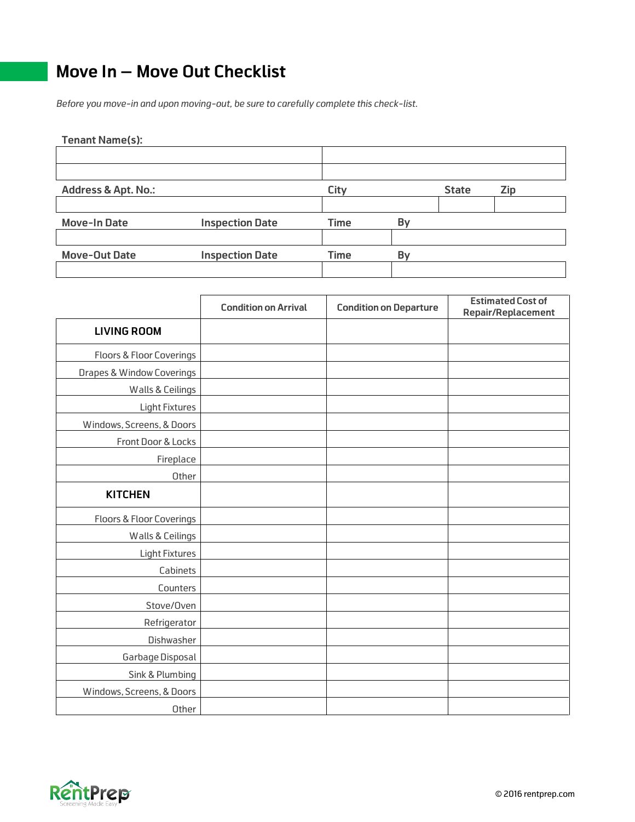## **Move In – Move Out Checklist**

*Before you move-in and upon moving-out, be sure to carefully complete this check-list.* 

| <b>Tenant Name(s):</b>         |                        |             |    |              |            |
|--------------------------------|------------------------|-------------|----|--------------|------------|
|                                |                        |             |    |              |            |
|                                |                        |             |    |              |            |
| <b>Address &amp; Apt. No.:</b> |                        | City        |    | <b>State</b> | <b>Zip</b> |
|                                |                        |             |    |              |            |
| <b>Move-In Date</b>            | <b>Inspection Date</b> | <b>Time</b> | By |              |            |
|                                |                        |             |    |              |            |
| <b>Move-Out Date</b>           | <b>Inspection Date</b> | <b>Time</b> | By |              |            |
|                                |                        |             |    |              |            |

|                                      | <b>Condition on Arrival</b> | <b>Condition on Departure</b> | <b>Estimated Cost of</b><br><b>Repair/Replacement</b> |
|--------------------------------------|-----------------------------|-------------------------------|-------------------------------------------------------|
| <b>LIVING ROOM</b>                   |                             |                               |                                                       |
| <b>Floors &amp; Floor Coverings</b>  |                             |                               |                                                       |
| <b>Drapes &amp; Window Coverings</b> |                             |                               |                                                       |
| Walls & Ceilings                     |                             |                               |                                                       |
| <b>Light Fixtures</b>                |                             |                               |                                                       |
| Windows, Screens, & Doors            |                             |                               |                                                       |
| Front Door & Locks                   |                             |                               |                                                       |
| Fireplace                            |                             |                               |                                                       |
| Other                                |                             |                               |                                                       |
| <b>KITCHEN</b>                       |                             |                               |                                                       |
| <b>Floors &amp; Floor Coverings</b>  |                             |                               |                                                       |
| Walls & Ceilings                     |                             |                               |                                                       |
| <b>Light Fixtures</b>                |                             |                               |                                                       |
| Cabinets                             |                             |                               |                                                       |
| Counters                             |                             |                               |                                                       |
| Stove/Oven                           |                             |                               |                                                       |
| Refrigerator                         |                             |                               |                                                       |
| Dishwasher                           |                             |                               |                                                       |
| Garbage Disposal                     |                             |                               |                                                       |
| Sink & Plumbing                      |                             |                               |                                                       |
| Windows, Screens, & Doors            |                             |                               |                                                       |
| Other                                |                             |                               |                                                       |

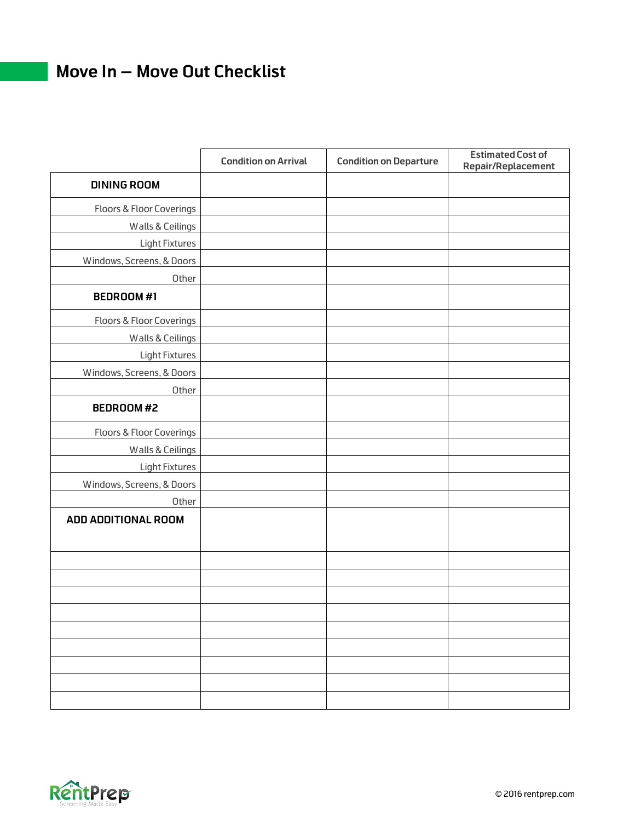## **Move In – Move Out Checklist**

|                                     | <b>Condition on Arrival</b> | <b>Condition on Departure</b> | <b>Estimated Cost of</b><br><b>Repair/Replacement</b> |
|-------------------------------------|-----------------------------|-------------------------------|-------------------------------------------------------|
| <b>DINING ROOM</b>                  |                             |                               |                                                       |
| <b>Floors &amp; Floor Coverings</b> |                             |                               |                                                       |
| Walls & Ceilings                    |                             |                               |                                                       |
| Light Fixtures                      |                             |                               |                                                       |
| Windows, Screens, & Doors           |                             |                               |                                                       |
| Other                               |                             |                               |                                                       |
| <b>BEDROOM#1</b>                    |                             |                               |                                                       |
| <b>Floors &amp; Floor Coverings</b> |                             |                               |                                                       |
| <b>Walls &amp; Ceilings</b>         |                             |                               |                                                       |
| <b>Light Fixtures</b>               |                             |                               |                                                       |
| Windows, Screens, & Doors           |                             |                               |                                                       |
| Other                               |                             |                               |                                                       |
| <b>BEDROOM#2</b>                    |                             |                               |                                                       |
| <b>Floors &amp; Floor Coverings</b> |                             |                               |                                                       |
| <b>Walls &amp; Ceilings</b>         |                             |                               |                                                       |
| <b>Light Fixtures</b>               |                             |                               |                                                       |
| Windows, Screens, & Doors           |                             |                               |                                                       |
| Other                               |                             |                               |                                                       |
| ADD ADDITIONAL ROOM                 |                             |                               |                                                       |
|                                     |                             |                               |                                                       |
|                                     |                             |                               |                                                       |
|                                     |                             |                               |                                                       |
|                                     |                             |                               |                                                       |
|                                     |                             |                               |                                                       |
|                                     |                             |                               |                                                       |
|                                     |                             |                               |                                                       |
|                                     |                             |                               |                                                       |
|                                     |                             |                               |                                                       |
|                                     |                             |                               |                                                       |